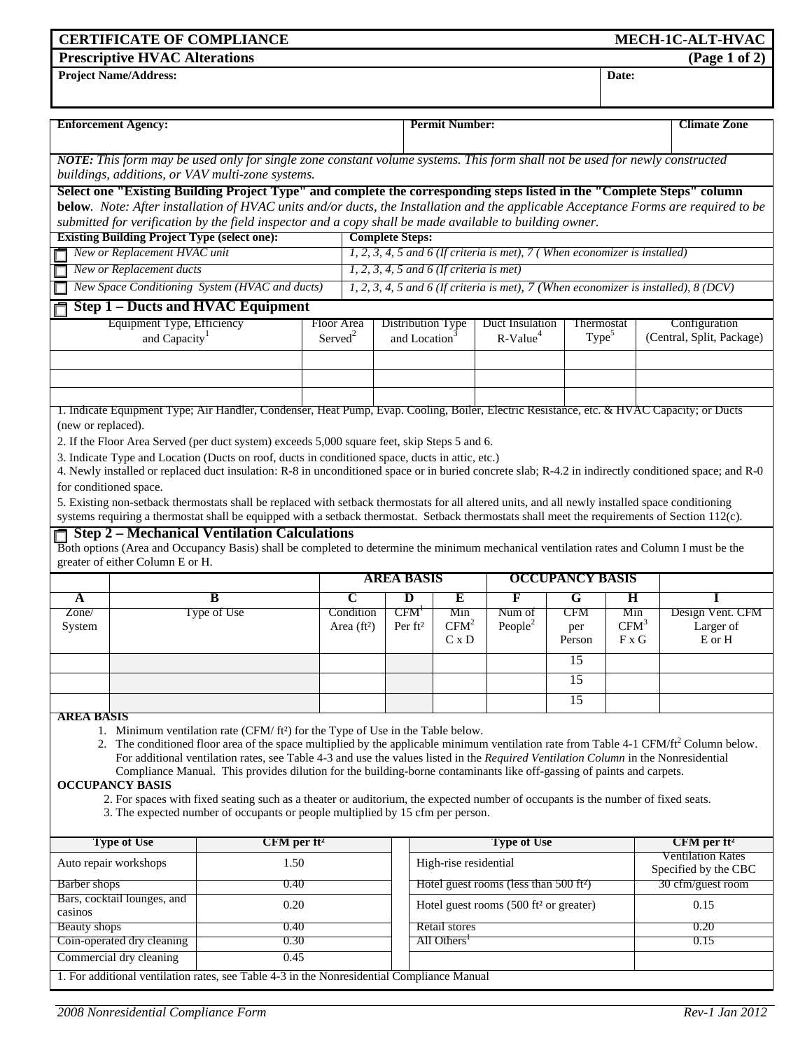| <b>CERTIFICATE OF COMPLIANCE</b><br>MECH-1C-ALT-HVAC                                                                                                                                                                                                                                               |                                   |                                                                                                                                                       |                                                                                                         |                                                                                     |                                                    |                                          |                     |                 |                           |                                                  |                     |  |
|----------------------------------------------------------------------------------------------------------------------------------------------------------------------------------------------------------------------------------------------------------------------------------------------------|-----------------------------------|-------------------------------------------------------------------------------------------------------------------------------------------------------|---------------------------------------------------------------------------------------------------------|-------------------------------------------------------------------------------------|----------------------------------------------------|------------------------------------------|---------------------|-----------------|---------------------------|--------------------------------------------------|---------------------|--|
| <b>Prescriptive HVAC Alterations</b>                                                                                                                                                                                                                                                               |                                   |                                                                                                                                                       |                                                                                                         |                                                                                     |                                                    |                                          |                     |                 |                           | (Page 1 of 2)                                    |                     |  |
| <b>Project Name/Address:</b><br>Date:                                                                                                                                                                                                                                                              |                                   |                                                                                                                                                       |                                                                                                         |                                                                                     |                                                    |                                          |                     |                 |                           |                                                  |                     |  |
|                                                                                                                                                                                                                                                                                                    |                                   |                                                                                                                                                       |                                                                                                         |                                                                                     |                                                    |                                          |                     |                 |                           |                                                  |                     |  |
|                                                                                                                                                                                                                                                                                                    | <b>Enforcement Agency:</b>        |                                                                                                                                                       |                                                                                                         |                                                                                     |                                                    | <b>Permit Number:</b>                    |                     |                 |                           |                                                  | <b>Climate Zone</b> |  |
|                                                                                                                                                                                                                                                                                                    |                                   |                                                                                                                                                       |                                                                                                         |                                                                                     |                                                    |                                          |                     |                 |                           |                                                  |                     |  |
|                                                                                                                                                                                                                                                                                                    |                                   | NOTE: This form may be used only for single zone constant volume systems. This form shall not be used for newly constructed                           |                                                                                                         |                                                                                     |                                                    |                                          |                     |                 |                           |                                                  |                     |  |
|                                                                                                                                                                                                                                                                                                    |                                   | buildings, additions, or VAV multi-zone systems.                                                                                                      |                                                                                                         |                                                                                     |                                                    |                                          |                     |                 |                           |                                                  |                     |  |
|                                                                                                                                                                                                                                                                                                    |                                   | Select one "Existing Building Project Type" and complete the corresponding steps listed in the "Complete Steps" column                                |                                                                                                         |                                                                                     |                                                    |                                          |                     |                 |                           |                                                  |                     |  |
|                                                                                                                                                                                                                                                                                                    |                                   | below. Note: After installation of HVAC units and/or ducts, the Installation and the applicable Acceptance Forms are required to be                   |                                                                                                         |                                                                                     |                                                    |                                          |                     |                 |                           |                                                  |                     |  |
|                                                                                                                                                                                                                                                                                                    |                                   | <b>Complete Steps:</b>                                                                                                                                | submitted for verification by the field inspector and a copy shall be made available to building owner. |                                                                                     |                                                    |                                          |                     |                 |                           |                                                  |                     |  |
| <b>Existing Building Project Type (select one):</b><br>New or Replacement HVAC unit                                                                                                                                                                                                                |                                   |                                                                                                                                                       |                                                                                                         | $1, 2, 3, 4, 5$ and 6 (If criteria is met), 7 (When economizer is installed)        |                                                    |                                          |                     |                 |                           |                                                  |                     |  |
|                                                                                                                                                                                                                                                                                                    | New or Replacement ducts          |                                                                                                                                                       |                                                                                                         | $1, 2, 3, 4, 5$ and 6 (If criteria is met)                                          |                                                    |                                          |                     |                 |                           |                                                  |                     |  |
|                                                                                                                                                                                                                                                                                                    |                                   | New Space Conditioning System (HVAC and ducts)                                                                                                        |                                                                                                         | 1, 2, 3, 4, 5 and 6 (If criteria is met), 7 (When economizer is installed), 8 (DCV) |                                                    |                                          |                     |                 |                           |                                                  |                     |  |
|                                                                                                                                                                                                                                                                                                    |                                   | <b>Step 1 – Ducts and HVAC Equipment</b>                                                                                                              |                                                                                                         |                                                                                     |                                                    |                                          |                     |                 |                           |                                                  |                     |  |
|                                                                                                                                                                                                                                                                                                    | <b>Equipment Type, Efficiency</b> |                                                                                                                                                       |                                                                                                         | <b>Floor Area</b>                                                                   |                                                    | Distribution Type                        | Duct Insulation     |                 | Thermostat                | Configuration                                    |                     |  |
|                                                                                                                                                                                                                                                                                                    | and Capacity <sup>1</sup>         |                                                                                                                                                       |                                                                                                         | Served <sup>2</sup>                                                                 |                                                    | and Location <sup>3</sup>                | $R-Value4$          |                 | Type <sup>5</sup>         | (Central, Split, Package)                        |                     |  |
|                                                                                                                                                                                                                                                                                                    |                                   |                                                                                                                                                       |                                                                                                         |                                                                                     |                                                    |                                          |                     |                 |                           |                                                  |                     |  |
|                                                                                                                                                                                                                                                                                                    |                                   |                                                                                                                                                       |                                                                                                         |                                                                                     |                                                    |                                          |                     |                 |                           |                                                  |                     |  |
|                                                                                                                                                                                                                                                                                                    |                                   |                                                                                                                                                       |                                                                                                         |                                                                                     |                                                    |                                          |                     |                 |                           |                                                  |                     |  |
|                                                                                                                                                                                                                                                                                                    |                                   | 1. Indicate Equipment Type; Air Handler, Condenser, Heat Pump, Evap. Cooling, Boiler, Electric Resistance, etc. & HVAC Capacity; or Ducts             |                                                                                                         |                                                                                     |                                                    |                                          |                     |                 |                           |                                                  |                     |  |
| (new or replaced).                                                                                                                                                                                                                                                                                 |                                   |                                                                                                                                                       |                                                                                                         |                                                                                     |                                                    |                                          |                     |                 |                           |                                                  |                     |  |
| 2. If the Floor Area Served (per duct system) exceeds 5,000 square feet, skip Steps 5 and 6.<br>3. Indicate Type and Location (Ducts on roof, ducts in conditioned space, ducts in attic, etc.)                                                                                                    |                                   |                                                                                                                                                       |                                                                                                         |                                                                                     |                                                    |                                          |                     |                 |                           |                                                  |                     |  |
|                                                                                                                                                                                                                                                                                                    |                                   | 4. Newly installed or replaced duct insulation: R-8 in unconditioned space or in buried concrete slab; R-4.2 in indirectly conditioned space; and R-0 |                                                                                                         |                                                                                     |                                                    |                                          |                     |                 |                           |                                                  |                     |  |
|                                                                                                                                                                                                                                                                                                    | for conditioned space.            |                                                                                                                                                       |                                                                                                         |                                                                                     |                                                    |                                          |                     |                 |                           |                                                  |                     |  |
|                                                                                                                                                                                                                                                                                                    |                                   |                                                                                                                                                       |                                                                                                         |                                                                                     |                                                    |                                          |                     |                 |                           |                                                  |                     |  |
| 5. Existing non-setback thermostats shall be replaced with setback thermostats for all altered units, and all newly installed space conditioning<br>systems requiring a thermostat shall be equipped with a setback thermostat. Setback thermostats shall meet the requirements of Section 112(c). |                                   |                                                                                                                                                       |                                                                                                         |                                                                                     |                                                    |                                          |                     |                 |                           |                                                  |                     |  |
|                                                                                                                                                                                                                                                                                                    |                                   | <b>Step 2 – Mechanical Ventilation Calculations</b>                                                                                                   |                                                                                                         |                                                                                     |                                                    |                                          |                     |                 |                           |                                                  |                     |  |
|                                                                                                                                                                                                                                                                                                    | greater of either Column E or H.  | Both options (Area and Occupancy Basis) shall be completed to determine the minimum mechanical ventilation rates and Column I must be the             |                                                                                                         |                                                                                     |                                                    |                                          |                     |                 |                           |                                                  |                     |  |
|                                                                                                                                                                                                                                                                                                    |                                   |                                                                                                                                                       |                                                                                                         |                                                                                     | <b>AREA BASIS</b><br><b>OCCUPANCY BASIS</b>        |                                          |                     |                 |                           |                                                  |                     |  |
| A                                                                                                                                                                                                                                                                                                  |                                   | B                                                                                                                                                     |                                                                                                         | C                                                                                   | D                                                  | Е                                        | F                   | G               | н                         |                                                  |                     |  |
| Zone/                                                                                                                                                                                                                                                                                              |                                   | Type of Use                                                                                                                                           |                                                                                                         | Condition                                                                           | CFM'                                               | Min                                      | Num of              | CFM             | Min                       |                                                  | Design Vent. CFM    |  |
| System                                                                                                                                                                                                                                                                                             |                                   |                                                                                                                                                       |                                                                                                         | Area $(ft2)$                                                                        | Per ft <sup>2</sup>                                | CFM <sup>2</sup>                         | People <sup>2</sup> | per             | CFM <sup>3</sup>          |                                                  | Larger of           |  |
|                                                                                                                                                                                                                                                                                                    |                                   |                                                                                                                                                       |                                                                                                         |                                                                                     |                                                    | C x D                                    |                     | Person          | F x G                     |                                                  | E or H              |  |
|                                                                                                                                                                                                                                                                                                    |                                   |                                                                                                                                                       |                                                                                                         |                                                                                     |                                                    |                                          |                     | $\overline{15}$ |                           |                                                  |                     |  |
|                                                                                                                                                                                                                                                                                                    |                                   |                                                                                                                                                       |                                                                                                         |                                                                                     |                                                    |                                          |                     | 15              |                           |                                                  |                     |  |
|                                                                                                                                                                                                                                                                                                    |                                   |                                                                                                                                                       |                                                                                                         |                                                                                     |                                                    |                                          |                     | $\overline{15}$ |                           |                                                  |                     |  |
| <b>AREA BASIS</b>                                                                                                                                                                                                                                                                                  |                                   |                                                                                                                                                       |                                                                                                         |                                                                                     |                                                    |                                          |                     |                 |                           |                                                  |                     |  |
|                                                                                                                                                                                                                                                                                                    |                                   | 1. Minimum ventilation rate (CFM/ft <sup>2</sup> ) for the Type of Use in the Table below.                                                            |                                                                                                         |                                                                                     |                                                    |                                          |                     |                 |                           |                                                  |                     |  |
| 2. The conditioned floor area of the space multiplied by the applicable minimum ventilation rate from Table 4-1 CFM/ft <sup>2</sup> Column below.<br>For additional ventilation rates, see Table 4-3 and use the values listed in the Required Ventilation Column in the Nonresidential            |                                   |                                                                                                                                                       |                                                                                                         |                                                                                     |                                                    |                                          |                     |                 |                           |                                                  |                     |  |
| Compliance Manual. This provides dilution for the building-borne contaminants like off-gassing of paints and carpets.                                                                                                                                                                              |                                   |                                                                                                                                                       |                                                                                                         |                                                                                     |                                                    |                                          |                     |                 |                           |                                                  |                     |  |
|                                                                                                                                                                                                                                                                                                    | <b>OCCUPANCY BASIS</b>            |                                                                                                                                                       |                                                                                                         |                                                                                     |                                                    |                                          |                     |                 |                           |                                                  |                     |  |
| 2. For spaces with fixed seating such as a theater or auditorium, the expected number of occupants is the number of fixed seats.<br>3. The expected number of occupants or people multiplied by 15 cfm per person.                                                                                 |                                   |                                                                                                                                                       |                                                                                                         |                                                                                     |                                                    |                                          |                     |                 |                           |                                                  |                     |  |
|                                                                                                                                                                                                                                                                                                    |                                   |                                                                                                                                                       |                                                                                                         |                                                                                     |                                                    |                                          |                     |                 |                           |                                                  |                     |  |
| <b>Type of Use</b>                                                                                                                                                                                                                                                                                 |                                   |                                                                                                                                                       | $CFM$ per ft <sup>2</sup>                                                                               |                                                                                     | <b>Type of Use</b>                                 |                                          |                     |                 | $CFM$ per ft <sup>2</sup> |                                                  |                     |  |
| Auto repair workshops                                                                                                                                                                                                                                                                              |                                   |                                                                                                                                                       | 1.50                                                                                                    |                                                                                     | High-rise residential                              |                                          |                     |                 |                           | <b>Ventilation Rates</b><br>Specified by the CBC |                     |  |
| Barber shops                                                                                                                                                                                                                                                                                       |                                   |                                                                                                                                                       | 0.40                                                                                                    |                                                                                     | Hotel guest rooms (less than 500 ft <sup>2</sup> ) |                                          |                     |                 |                           | 30 cfm/guest room                                |                     |  |
| Bars, cocktail lounges, and                                                                                                                                                                                                                                                                        |                                   | 0.20                                                                                                                                                  |                                                                                                         |                                                                                     | Hotel guest rooms (500 ft <sup>2</sup> or greater) |                                          |                     |                 |                           | 0.15                                             |                     |  |
| casinos                                                                                                                                                                                                                                                                                            |                                   |                                                                                                                                                       |                                                                                                         |                                                                                     |                                                    |                                          |                     |                 |                           |                                                  |                     |  |
| Beauty shops<br>Coin-operated dry cleaning                                                                                                                                                                                                                                                         |                                   | 0.40<br>0.30                                                                                                                                          |                                                                                                         |                                                                                     |                                                    | Retail stores<br>All Others <sup>1</sup> |                     |                 | 0.20<br>0.15              |                                                  |                     |  |
| Commercial dry cleaning                                                                                                                                                                                                                                                                            |                                   | 0.45                                                                                                                                                  |                                                                                                         |                                                                                     |                                                    |                                          |                     |                 |                           |                                                  |                     |  |
| 1. For additional ventilation rates, see Table 4-3 in the Nonresidential Compliance Manual                                                                                                                                                                                                         |                                   |                                                                                                                                                       |                                                                                                         |                                                                                     |                                                    |                                          |                     |                 |                           |                                                  |                     |  |
|                                                                                                                                                                                                                                                                                                    |                                   |                                                                                                                                                       |                                                                                                         |                                                                                     |                                                    |                                          |                     |                 |                           |                                                  |                     |  |